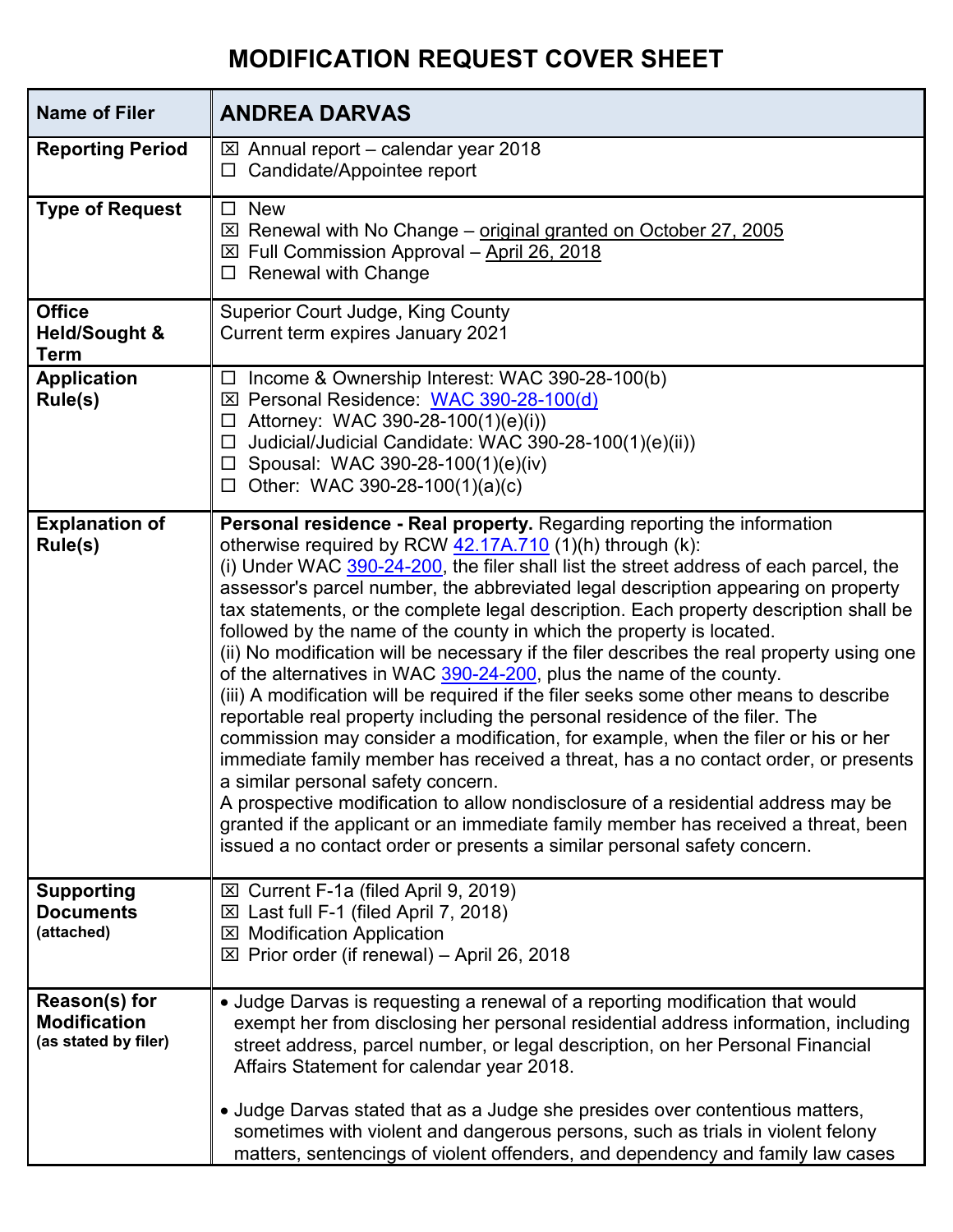## **MODIFICATION REQUEST COVER SHEET**

| <b>Name of Filer</b>                                         | <b>ANDREA DARVAS</b>                                                                                                                                                                                                                                                                                                                                                                                                                                                                                                                                                                                                                                                                                                                                                                                                                                                                                                                                                                                                                                                                                                                                                                                                                                                                                   |
|--------------------------------------------------------------|--------------------------------------------------------------------------------------------------------------------------------------------------------------------------------------------------------------------------------------------------------------------------------------------------------------------------------------------------------------------------------------------------------------------------------------------------------------------------------------------------------------------------------------------------------------------------------------------------------------------------------------------------------------------------------------------------------------------------------------------------------------------------------------------------------------------------------------------------------------------------------------------------------------------------------------------------------------------------------------------------------------------------------------------------------------------------------------------------------------------------------------------------------------------------------------------------------------------------------------------------------------------------------------------------------|
| <b>Reporting Period</b>                                      | $\boxtimes$ Annual report – calendar year 2018<br>$\Box$ Candidate/Appointee report                                                                                                                                                                                                                                                                                                                                                                                                                                                                                                                                                                                                                                                                                                                                                                                                                                                                                                                                                                                                                                                                                                                                                                                                                    |
| <b>Type of Request</b>                                       | $\square$ New<br>$\boxtimes$ Renewal with No Change – original granted on October 27, 2005<br>$\boxtimes$ Full Commission Approval - April 26, 2018<br>$\Box$ Renewal with Change                                                                                                                                                                                                                                                                                                                                                                                                                                                                                                                                                                                                                                                                                                                                                                                                                                                                                                                                                                                                                                                                                                                      |
| <b>Office</b><br><b>Held/Sought &amp;</b><br><b>Term</b>     | <b>Superior Court Judge, King County</b><br>Current term expires January 2021                                                                                                                                                                                                                                                                                                                                                                                                                                                                                                                                                                                                                                                                                                                                                                                                                                                                                                                                                                                                                                                                                                                                                                                                                          |
| <b>Application</b><br>Rule(s)                                | $\Box$ Income & Ownership Interest: WAC 390-28-100(b)<br>⊠ Personal Residence: WAC 390-28-100(d)<br>$\Box$ Attorney: WAC 390-28-100(1)(e)(i))<br>Judicial/Judicial Candidate: WAC 390-28-100(1)(e)(ii))<br>$\Box$<br>$\Box$ Spousal: WAC 390-28-100(1)(e)(iv)<br>$\Box$ Other: WAC 390-28-100(1)(a)(c)                                                                                                                                                                                                                                                                                                                                                                                                                                                                                                                                                                                                                                                                                                                                                                                                                                                                                                                                                                                                 |
| <b>Explanation of</b><br>Rule(s)                             | Personal residence - Real property. Regarding reporting the information<br>otherwise required by RCW 42.17A.710 (1)(h) through (k):<br>(i) Under WAC 390-24-200, the filer shall list the street address of each parcel, the<br>assessor's parcel number, the abbreviated legal description appearing on property<br>tax statements, or the complete legal description. Each property description shall be<br>followed by the name of the county in which the property is located.<br>(ii) No modification will be necessary if the filer describes the real property using one<br>of the alternatives in WAC 390-24-200, plus the name of the county.<br>(iii) A modification will be required if the filer seeks some other means to describe<br>reportable real property including the personal residence of the filer. The<br>commission may consider a modification, for example, when the filer or his or her<br>immediate family member has received a threat, has a no contact order, or presents<br>a similar personal safety concern.<br>A prospective modification to allow nondisclosure of a residential address may be<br>granted if the applicant or an immediate family member has received a threat, been<br>issued a no contact order or presents a similar personal safety concern. |
| <b>Supporting</b><br><b>Documents</b><br>(attached)          | ⊠ Current F-1a (filed April 9, 2019)<br>$\boxtimes$ Last full F-1 (filed April 7, 2018)<br><b>⊠ Modification Application</b><br>$\boxtimes$ Prior order (if renewal) – April 26, 2018                                                                                                                                                                                                                                                                                                                                                                                                                                                                                                                                                                                                                                                                                                                                                                                                                                                                                                                                                                                                                                                                                                                  |
| Reason(s) for<br><b>Modification</b><br>(as stated by filer) | • Judge Darvas is requesting a renewal of a reporting modification that would<br>exempt her from disclosing her personal residential address information, including<br>street address, parcel number, or legal description, on her Personal Financial<br>Affairs Statement for calendar year 2018.                                                                                                                                                                                                                                                                                                                                                                                                                                                                                                                                                                                                                                                                                                                                                                                                                                                                                                                                                                                                     |
|                                                              | • Judge Darvas stated that as a Judge she presides over contentious matters,<br>sometimes with violent and dangerous persons, such as trials in violent felony<br>matters, sentencings of violent offenders, and dependency and family law cases                                                                                                                                                                                                                                                                                                                                                                                                                                                                                                                                                                                                                                                                                                                                                                                                                                                                                                                                                                                                                                                       |